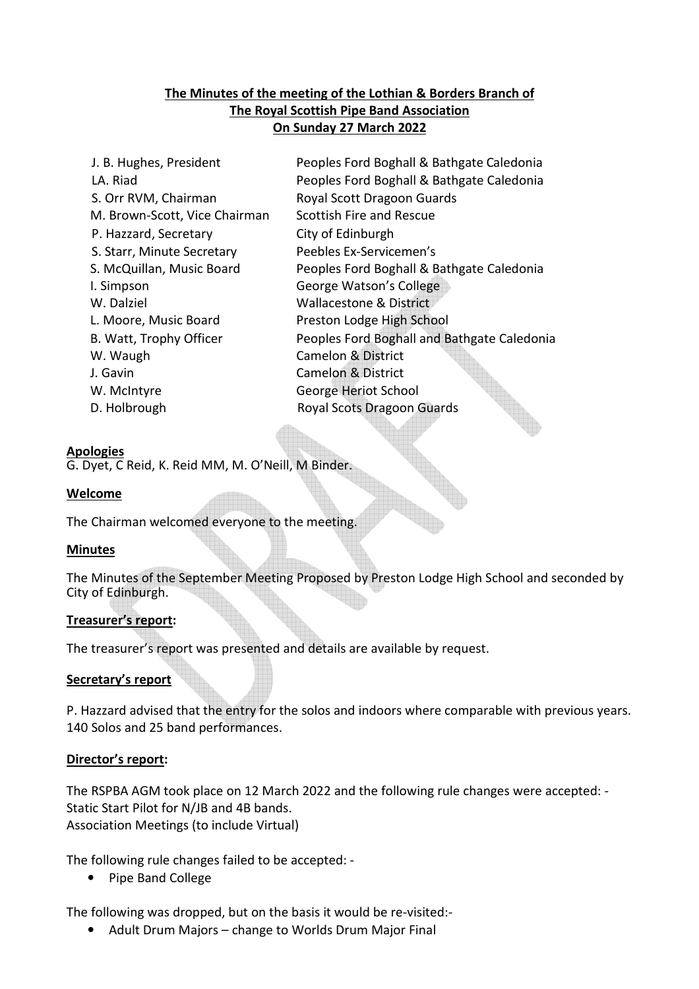# **The Minutes of the meeting of the Lothian & Borders Branch of The Royal Scottish Pipe Band Association On Sunday 27 March 2022**

J. B. Hughes, President Peoples Ford Boghall & Bathgate Caledonia LA. Riad Peoples Ford Boghall & Bathgate Caledonia S. Orr RVM, Chairman Royal Scott Dragoon Guards M. Brown-Scott, Vice Chairman Scottish Fire and Rescue P. Hazzard, Secretary City of Edinburgh S. Starr, Minute Secretary Peebles Ex-Servicemen's S. McQuillan, Music Board Peoples Ford Boghall & Bathgate Caledonia I. Simpson George Watson's College W. Dalziel **W. Dalziel Wallacestone & District** L. Moore, Music Board Preston Lodge High School B. Watt, Trophy Officer Peoples Ford Boghall and Bathgate Caledonia W. Waugh Camelon & District J. Gavin Camelon & District W. McIntyre **George Heriot School** D. Holbrough Royal Scots Dragoon Guards

#### **Apologies**

G. Dyet, C Reid, K. Reid MM, M. O'Neill, M Binder.

### **Welcome**

The Chairman welcomed everyone to the meeting.

# **Minutes**

The Minutes of the September Meeting Proposed by Preston Lodge High School and seconded by City of Edinburgh.

#### **Treasurer's report:**

The treasurer's report was presented and details are available by request.

# **Secretary's report**

P. Hazzard advised that the entry for the solos and indoors where comparable with previous years. 140 Solos and 25 band performances.

#### **Director's report:**

The RSPBA AGM took place on 12 March 2022 and the following rule changes were accepted: - Static Start Pilot for N/JB and 4B bands. Association Meetings (to include Virtual)

The following rule changes failed to be accepted: -

• Pipe Band College

The following was dropped, but on the basis it would be re-visited:-

• Adult Drum Majors – change to Worlds Drum Major Final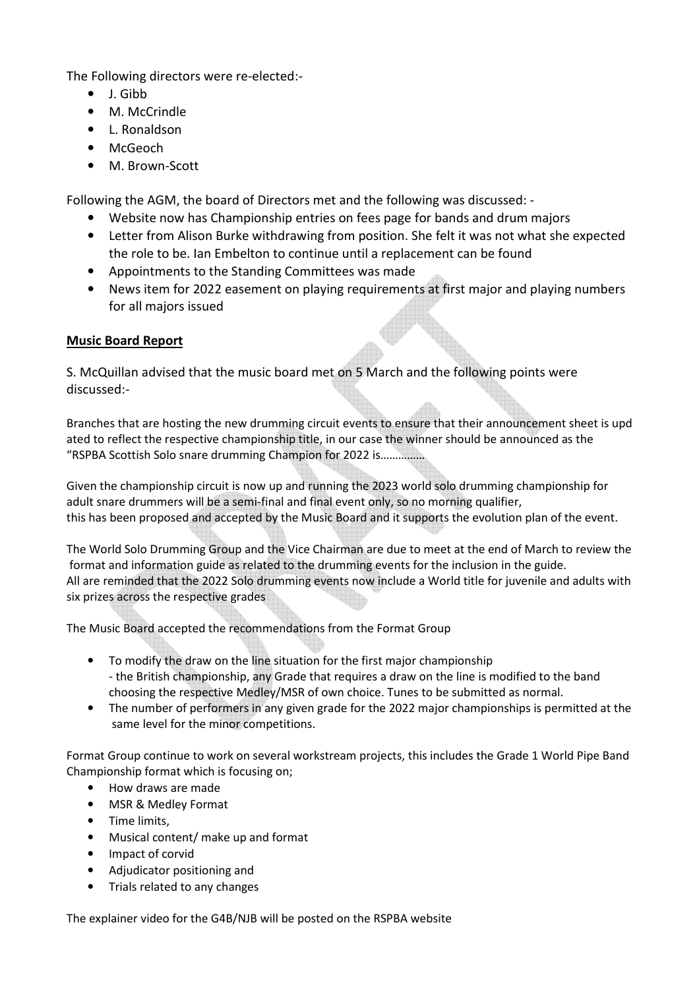The Following directors were re-elected:-

- J. Gibb
- M. McCrindle
- L. Ronaldson
- McGeoch
- M **Brown-Scott**

Following the AGM, the board of Directors met and the following was discussed: -

- Website now has Championship entries on fees page for bands and drum majors
- Letter from Alison Burke withdrawing from position. She felt it was not what she expected the role to be. Ian Embelton to continue until a replacement can be found
- Appointments to the Standing Committees was made
- News item for 2022 easement on playing requirements at first major and playing numbers for all majors issued

# **Music Board Report**

S. McQuillan advised that the music board met on 5 March and the following points were discussed:-

Branches that are hosting the new drumming circuit events to ensure that their announcement sheet is upd ated to reflect the respective championship title, in our case the winner should be announced as the "RSPBA Scottish Solo snare drumming Champion for 2022 is……………

Given the championship circuit is now up and running the 2023 world solo drumming championship for adult snare drummers will be a semi-final and final event only, so no morning qualifier, this has been proposed and accepted by the Music Board and it supports the evolution plan of the event.

The World Solo Drumming Group and the Vice Chairman are due to meet at the end of March to review the format and information guide as related to the drumming events for the inclusion in the guide. All are reminded that the 2022 Solo drumming events now include a World title for juvenile and adults with six prizes across the respective grades

The Music Board accepted the recommendations from the Format Group

- To modify the draw on the line situation for the first major championship - the British championship, any Grade that requires a draw on the line is modified to the band choosing the respective Medley/MSR of own choice. Tunes to be submitted as normal.
- The number of performers in any given grade for the 2022 major championships is permitted at the same level for the minor competitions.

Format Group continue to work on several workstream projects, this includes the Grade 1 World Pipe Band Championship format which is focusing on;

- How draws are made
- MSR & Medley Format
- Time limits,
- Musical content/ make up and format
- Impact of corvid
- Adjudicator positioning and
- Trials related to any changes

The explainer video for the G4B/NJB will be posted on the RSPBA website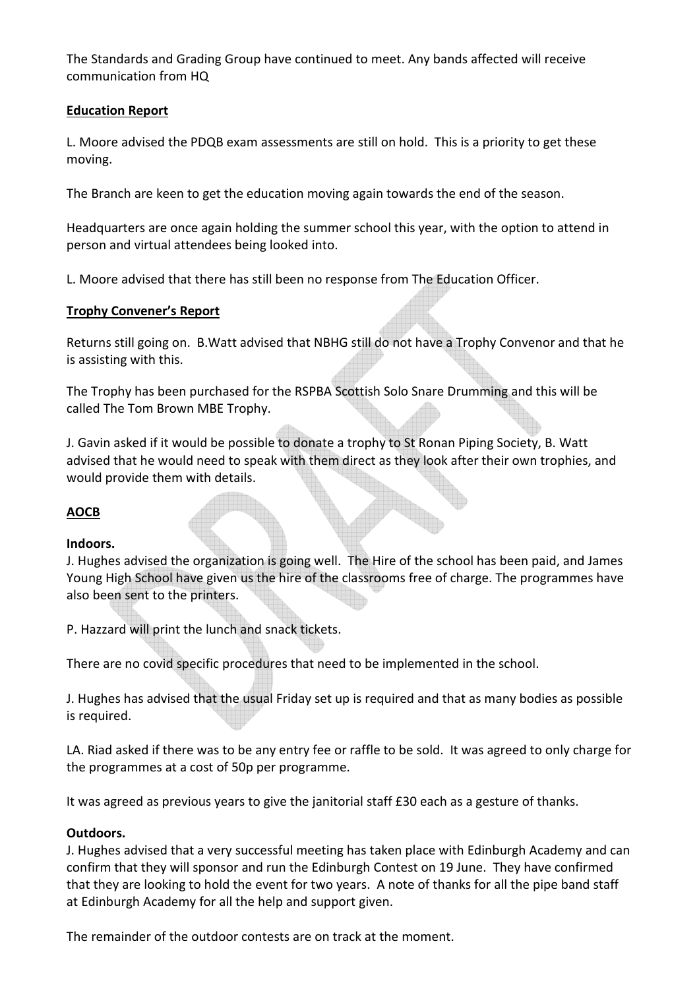The Standards and Grading Group have continued to meet. Any bands affected will receive communication from HQ

# **Education Report**

L. Moore advised the PDQB exam assessments are still on hold. This is a priority to get these moving.

The Branch are keen to get the education moving again towards the end of the season.

Headquarters are once again holding the summer school this year, with the option to attend in person and virtual attendees being looked into.

L. Moore advised that there has still been no response from The Education Officer.

### **Trophy Convener's Report**

Returns still going on. B.Watt advised that NBHG still do not have a Trophy Convenor and that he is assisting with this.

The Trophy has been purchased for the RSPBA Scottish Solo Snare Drumming and this will be called The Tom Brown MBE Trophy.

J. Gavin asked if it would be possible to donate a trophy to St Ronan Piping Society, B. Watt advised that he would need to speak with them direct as they look after their own trophies, and would provide them with details.

# **AOCB**

#### **Indoors.**

J. Hughes advised the organization is going well. The Hire of the school has been paid, and James Young High School have given us the hire of the classrooms free of charge. The programmes have also been sent to the printers.

P. Hazzard will print the lunch and snack tickets.

There are no covid specific procedures that need to be implemented in the school.

J. Hughes has advised that the usual Friday set up is required and that as many bodies as possible is required.

LA. Riad asked if there was to be any entry fee or raffle to be sold. It was agreed to only charge for the programmes at a cost of 50p per programme.

It was agreed as previous years to give the janitorial staff £30 each as a gesture of thanks.

#### **Outdoors.**

J. Hughes advised that a very successful meeting has taken place with Edinburgh Academy and can confirm that they will sponsor and run the Edinburgh Contest on 19 June. They have confirmed that they are looking to hold the event for two years. A note of thanks for all the pipe band staff at Edinburgh Academy for all the help and support given.

The remainder of the outdoor contests are on track at the moment.